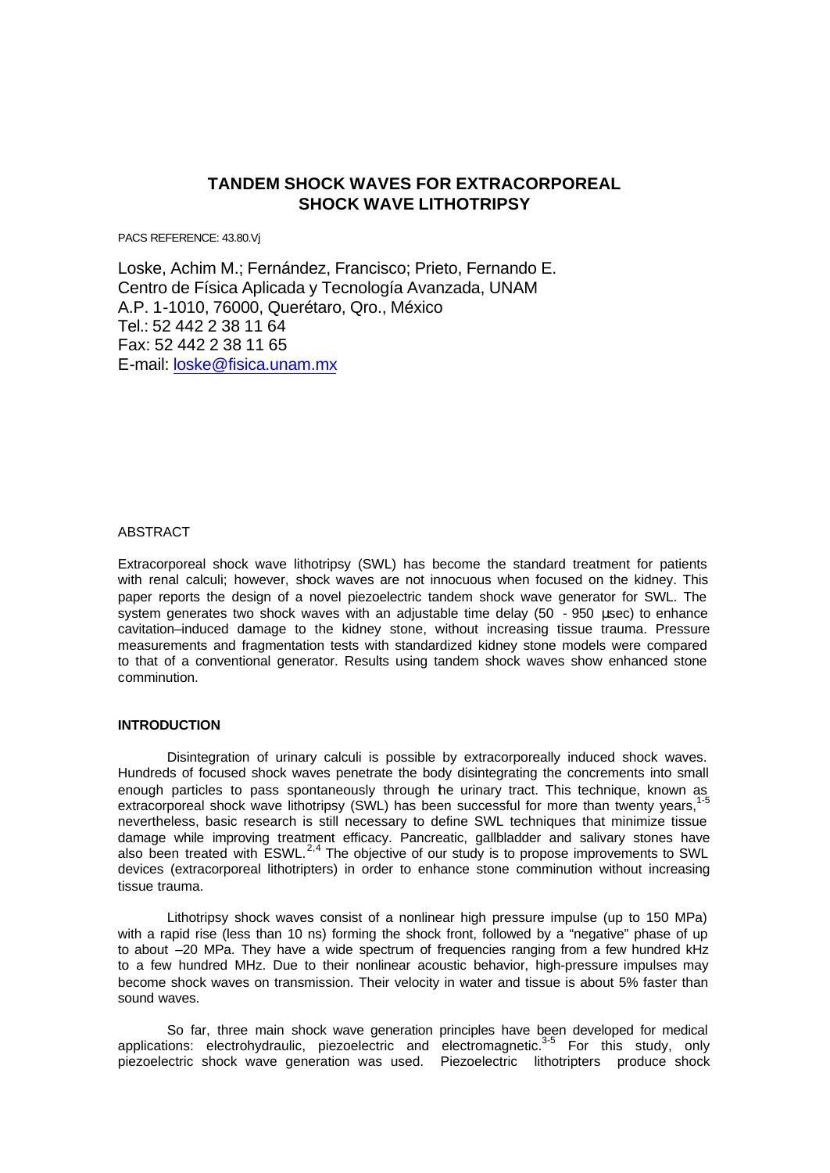# **TANDEM SHOCK WAVES FOR EXTRACORPOREAL SHOCK WAVE LITHOTRIPSY**

PACS REFERENCE: 43.80.Vj

Loske, Achim M.; Fernández, Francisco; Prieto, Fernando E. Centro de Física Aplicada y Tecnología Avanzada, UNAM A.P. 1-1010, 76000, Querétaro, Qro., México Tel.: 52 442 2 38 11 64 Fax: 52 442 2 38 11 65 E-mail: loske@fisica.unam.mx

### ABSTRACT

Extracorporeal shock wave lithotripsy (SWL) has become the standard treatment for patients with renal calculi; however, shock waves are not innocuous when focused on the kidney. This paper reports the design of a novel piezoelectric tandem shock wave generator for SWL. The system generates two shock waves with an adjustable time delay (50 - 950 μsec) to enhance cavitation–induced damage to the kidney stone, without increasing tissue trauma. Pressure measurements and fragmentation tests with standardized kidney stone models were compared to that of a conventional generator. Results using tandem shock waves show enhanced stone comminution.

### **INTRODUCTION**

Disintegration of urinary calculi is possible by extracorporeally induced shock waves. Hundreds of focused shock waves penetrate the body disintegrating the concrements into small enough particles to pass spontaneously through the urinary tract. This technique, known as extracorporeal shock wave lithotripsy (SWL) has been successful for more than twenty years, nevertheless, basic research is still necessary to define SWL techniques that minimize tissue damage while improving treatment efficacy. Pancreatic, gallbladder and salivary stones have also been treated with  $ESWL<sup>2,4</sup>$  The objective of our study is to propose improvements to SWL devices (extracorporeal lithotripters) in order to enhance stone comminution without increasing tissue trauma.

Lithotripsy shock waves consist of a nonlinear high pressure impulse (up to 150 MPa) with a rapid rise (less than 10 ns) forming the shock front, followed by a "negative" phase of up to about –20 MPa. They have a wide spectrum of frequencies ranging from a few hundred kHz to a few hundred MHz. Due to their nonlinear acoustic behavior, high-pressure impulses may become shock waves on transmission. Their velocity in water and tissue is about 5% faster than sound waves.

So far, three main shock wave generation principles have been developed for medical applications: electrohydraulic, piezoelectric and electromagnetic.<sup>3-5</sup> For this study, only piezoelectric shock wave generation was used. Piezoelectric lithotripters produce shock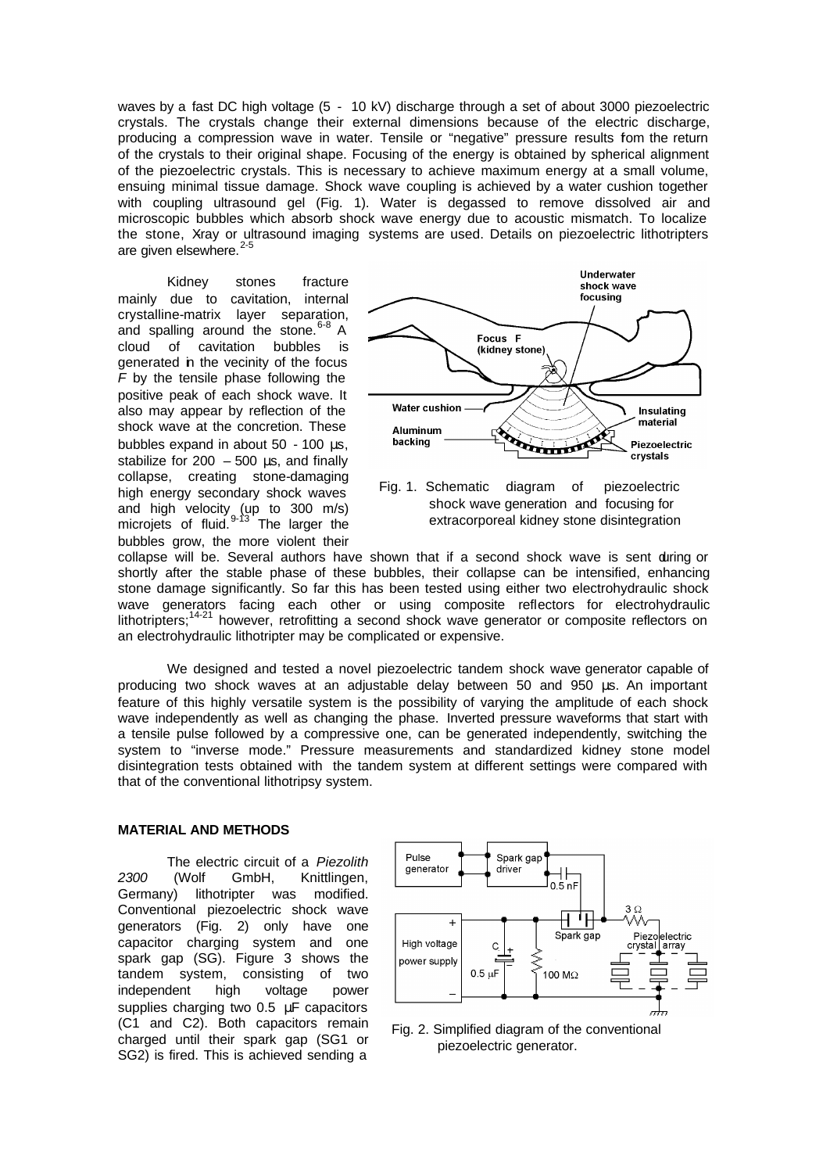waves by a fast DC high voltage (5 - 10 kV) discharge through a set of about 3000 piezoelectric crystals. The crystals change their external dimensions because of the electric discharge, producing a compression wave in water. Tensile or "negative" pressure results fom the return of the crystals to their original shape. Focusing of the energy is obtained by spherical alignment of the piezoelectric crystals. This is necessary to achieve maximum energy at a small volume, ensuing minimal tissue damage. Shock wave coupling is achieved by a water cushion together with coupling ultrasound gel (Fig. 1). Water is degassed to remove dissolved air and microscopic bubbles which absorb shock wave energy due to acoustic mismatch. To localize the stone, Xray or ultrasound imaging systems are used. Details on piezoelectric lithotripters are given elsewhere. $2-5$ 

Kidney stones fracture mainly due to cavitation, internal crystalline-matrix layer separation, and spalling around the stone.  $6-8$  A cloud of cavitation bubbles is generated in the vecinity of the focus *F* by the tensile phase following the positive peak of each shock wave. It also may appear by reflection of the shock wave at the concretion. These bubbles expand in about 50 - 100 μs, stabilize for  $200 - 500$  μs, and finally collapse, creating stone-damaging high energy secondary shock waves and high velocity (up to 300 m/s) microjets of fluid.  $9-13$  The larger the bubbles grow, the more violent their



collapse will be. Several authors have shown that if a second shock wave is sent during or shortly after the stable phase of these bubbles, their collapse can be intensified, enhancing stone damage significantly. So far this has been tested using either two electrohydraulic shock wave generators facing each other or using composite reflectors for electrohydraulic lithotripters;<sup>14-21</sup> however, retrofitting a second shock wave generator or composite reflectors on an electrohydraulic lithotripter may be complicated or expensive.

We designed and tested a novel piezoelectric tandem shock wave generator capable of producing two shock waves at an adjustable delay between 50 and 950 μs. An important feature of this highly versatile system is the possibility of varying the amplitude of each shock wave independently as well as changing the phase. Inverted pressure waveforms that start with a tensile pulse followed by a compressive one, can be generated independently, switching the system to "inverse mode." Pressure measurements and standardized kidney stone model disintegration tests obtained with the tandem system at different settings were compared with that of the conventional lithotripsy system.

### **MATERIAL AND METHODS**

The electric circuit of a *Piezolith 2300* (Wolf GmbH, Knittlingen, Germany) lithotripter was modified. Conventional piezoelectric shock wave generators (Fig. 2) only have one capacitor charging system and one spark gap (SG). Figure 3 shows the tandem system, consisting of two independent high voltage power supplies charging two 0.5 μF capacitors (C1 and C2). Both capacitors remain charged until their spark gap (SG1 or SG2) is fired. This is achieved sending a



Fig. 2. Simplified diagram of the conventional piezoelectric generator.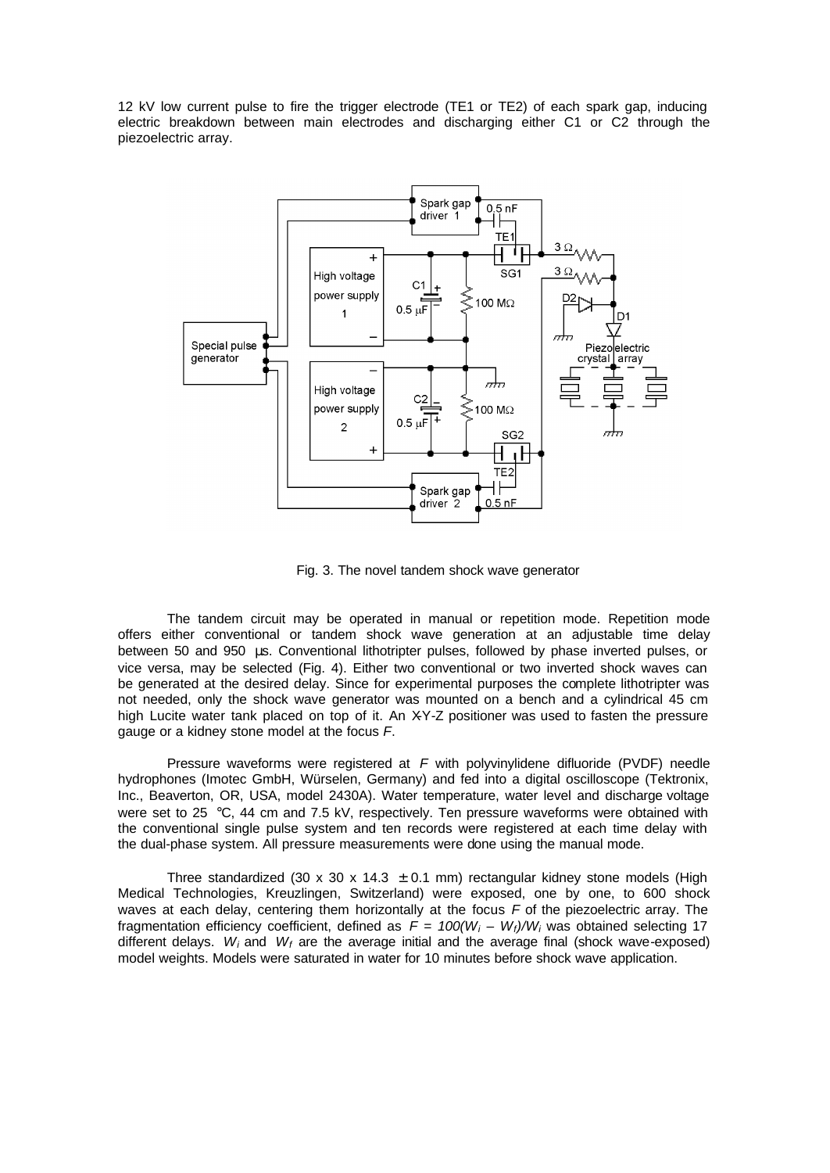12 kV low current pulse to fire the trigger electrode (TE1 or TE2) of each spark gap, inducing electric breakdown between main electrodes and discharging either C1 or C2 through the piezoelectric array.



Fig. 3. The novel tandem shock wave generator

The tandem circuit may be operated in manual or repetition mode. Repetition mode offers either conventional or tandem shock wave generation at an adjustable time delay between 50 and 950 μs. Conventional lithotripter pulses, followed by phase inverted pulses, or vice versa, may be selected (Fig. 4). Either two conventional or two inverted shock waves can be generated at the desired delay. Since for experimental purposes the complete lithotripter was not needed, only the shock wave generator was mounted on a bench and a cylindrical 45 cm high Lucite water tank placed on top of it. An XY-Z positioner was used to fasten the pressure gauge or a kidney stone model at the focus *F*.

Pressure waveforms were registered at *F* with polyvinylidene difluoride (PVDF) needle hydrophones (Imotec GmbH, Würselen, Germany) and fed into a digital oscilloscope (Tektronix, Inc., Beaverton, OR, USA, model 2430A). Water temperature, water level and discharge voltage were set to 25 °C, 44 cm and 7.5 kV, respectively. Ten pressure waveforms were obtained with the conventional single pulse system and ten records were registered at each time delay with the dual-phase system. All pressure measurements were done using the manual mode.

Three standardized (30 x 30 x 14.3  $\pm$  0.1 mm) rectangular kidney stone models (High Medical Technologies, Kreuzlingen, Switzerland) were exposed, one by one, to 600 shock waves at each delay, centering them horizontally at the focus *F* of the piezoelectric array. The fragmentation efficiency coefficient, defined as *F = 100(W<sup>i</sup> – Wf)/W<sup>i</sup>* was obtained selecting 17 different delays. W<sub>i</sub> and W<sub>f</sub> are the average initial and the average final (shock wave-exposed) model weights. Models were saturated in water for 10 minutes before shock wave application.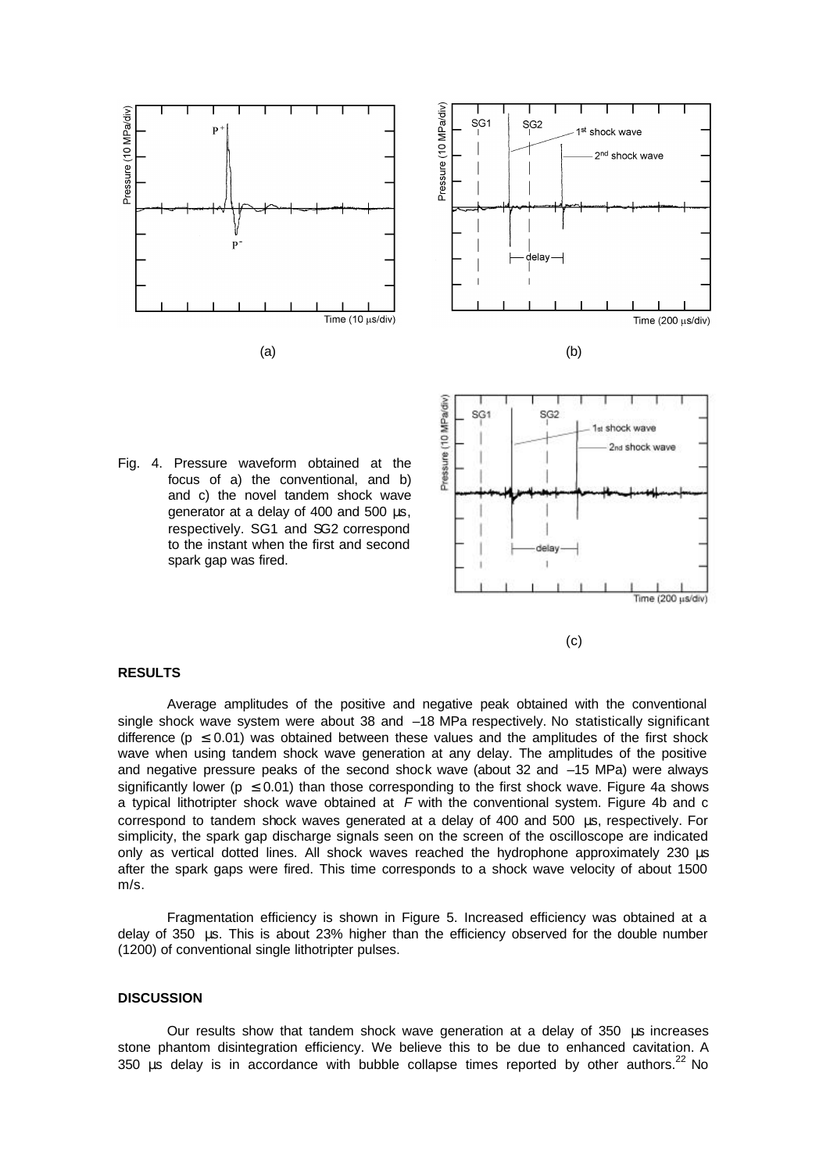

Fig. 4. Pressure waveform obtained at the focus of a) the conventional, and b) and c) the novel tandem shock wave generator at a delay of 400 and 500 μs, respectively. SG1 and SG2 correspond to the instant when the first and second spark gap was fired.



## (c)

#### **RESULTS**

Average amplitudes of the positive and negative peak obtained with the conventional single shock wave system were about 38 and –18 MPa respectively. No statistically significant difference ( $p \le 0.01$ ) was obtained between these values and the amplitudes of the first shock wave when using tandem shock wave generation at any delay. The amplitudes of the positive and negative pressure peaks of the second shock wave (about 32 and –15 MPa) were always significantly lower ( $p \le 0.01$ ) than those corresponding to the first shock wave. Figure 4a shows a typical lithotripter shock wave obtained at *F* with the conventional system. Figure 4b and c correspond to tandem shock waves generated at a delay of 400 and 500 μs, respectively. For simplicity, the spark gap discharge signals seen on the screen of the oscilloscope are indicated only as vertical dotted lines. All shock waves reached the hydrophone approximately 230 μs after the spark gaps were fired. This time corresponds to a shock wave velocity of about 1500 m/s.

Fragmentation efficiency is shown in Figure 5. Increased efficiency was obtained at a delay of 350 μs. This is about 23% higher than the efficiency observed for the double number (1200) of conventional single lithotripter pulses.

### **DISCUSSION**

Our results show that tandem shock wave generation at a delay of 350 μs increases stone phantom disintegration efficiency. We believe this to be due to enhanced cavitation. A 350 μs delay is in accordance with bubble collapse times reported by other authors.<sup>22</sup> No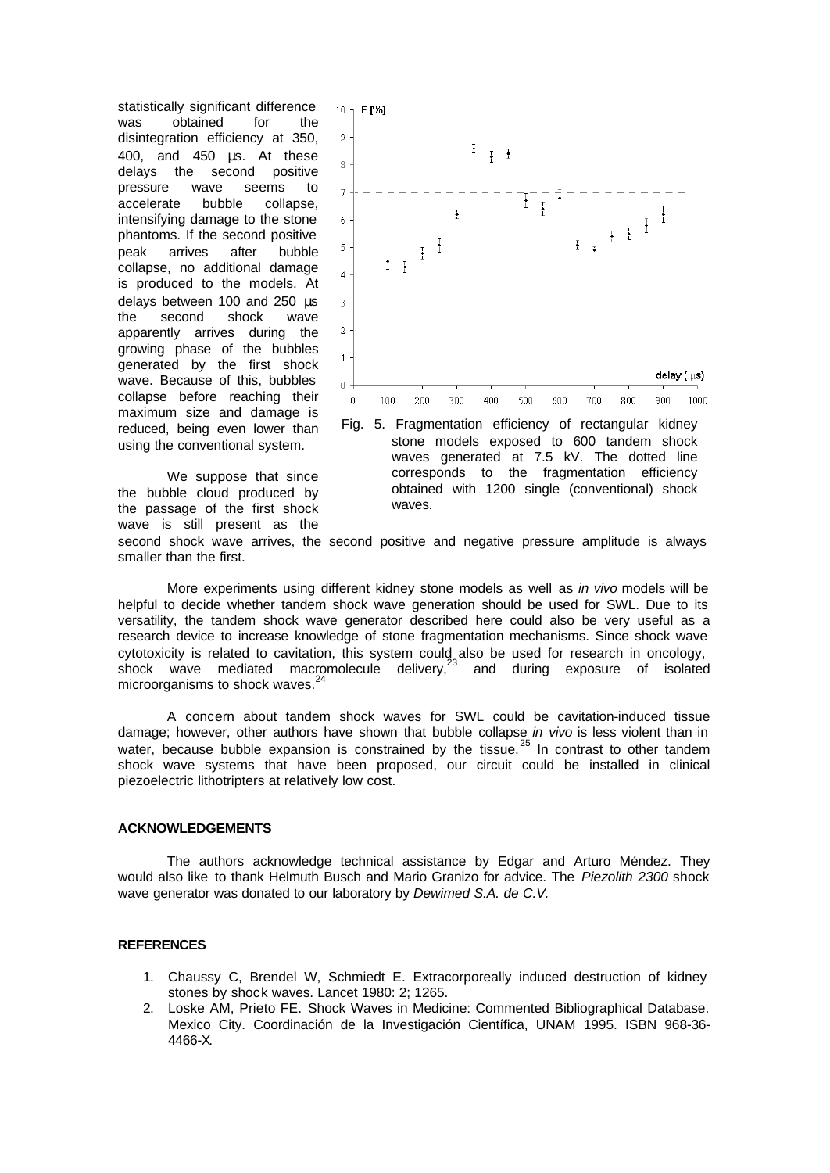statistically significant difference was obtained for the disintegration efficiency at 350, 400, and 450 μs. At these delays the second positive pressure wave seems to accelerate bubble collapse, intensifying damage to the stone phantoms. If the second positive peak arrives after bubble collapse, no additional damage is produced to the models. At delays between 100 and 250 μs the second shock wave apparently arrives during the growing phase of the bubbles generated by the first shock wave. Because of this, bubbles collapse before reaching their maximum size and damage is reduced, being even lower than using the conventional system.

We suppose that since the bubble cloud produced by the passage of the first shock wave is still present as the



Fig. 5. Fragmentation efficiency of rectangular kidney stone models exposed to 600 tandem shock waves generated at 7.5 kV. The dotted line corresponds to the fragmentation efficiency obtained with 1200 single (conventional) shock waves.

second shock wave arrives, the second positive and negative pressure amplitude is always smaller than the first.

More experiments using different kidney stone models as well as *in vivo* models will be helpful to decide whether tandem shock wave generation should be used for SWL. Due to its versatility, the tandem shock wave generator described here could also be very useful as a research device to increase knowledge of stone fragmentation mechanisms. Since shock wave cytotoxicity is related to cavitation, this system could also be used for research in oncology,  $\frac{1}{2}$  shock wave mediated macromolecule delivery,<sup>23</sup> and during exposure of isolated microorganisms to shock waves.<sup>24</sup>

A concern about tandem shock waves for SWL could be cavitation-induced tissue damage; however, other authors have shown that bubble collapse *in vivo* is less violent than in water, because bubble expansion is constrained by the tissue.<sup>25</sup> In contrast to other tandem shock wave systems that have been proposed, our circuit could be installed in clinical piezoelectric lithotripters at relatively low cost.

### **ACKNOWLEDGEMENTS**

The authors acknowledge technical assistance by Edgar and Arturo Méndez. They would also like to thank Helmuth Busch and Mario Granizo for advice. The *Piezolith 2300* shock wave generator was donated to our laboratory by *Dewimed S.A. de C.V.*

### **REFERENCES**

- 1. Chaussy C, Brendel W, Schmiedt E. Extracorporeally induced destruction of kidney stones by shock waves. Lancet 1980: 2; 1265.
- 2. Loske AM, Prieto FE. Shock Waves in Medicine: Commented Bibliographical Database. Mexico City. Coordinación de la Investigación Científica, UNAM 1995. ISBN 968-36- 4466-X.